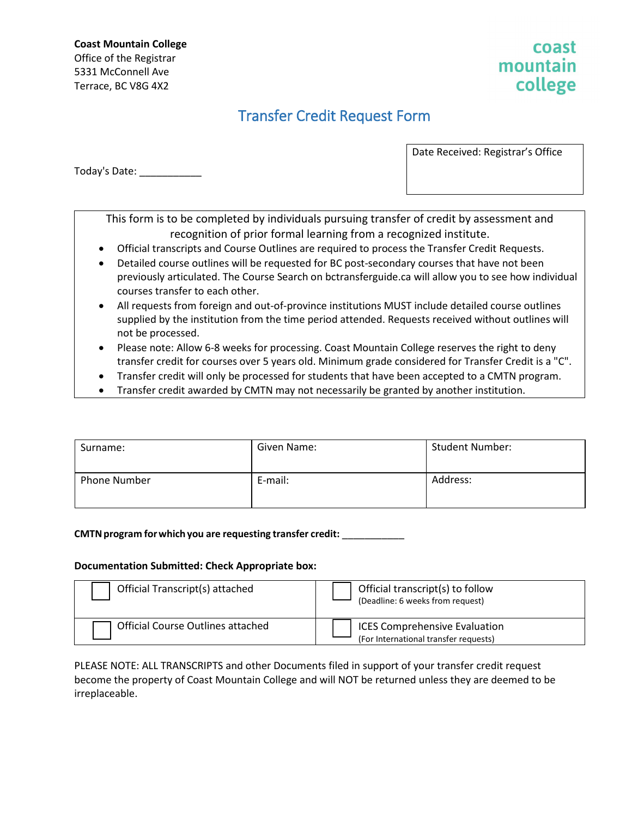**Coast Mountain College** Office of the Registrar 5331 McConnell Ave Terrace, BC V8G 4X2

### coast mountain college

## Transfer Credit Request Form

Today's Date: \_\_\_\_\_\_\_\_\_\_\_

Date Received: Registrar's Office

This form is to be completed by individuals pursuing transfer of credit by assessment and recognition of prior formal learning from a recognized institute.

- Official transcripts and Course Outlines are required to process the Transfer Credit Requests.
- Detailed course outlines will be requested for BC post-secondary courses that have not been previously articulated. The Course Search on bctransferguide.ca will allow you to see how individual courses transfer to each other.
- All requests from foreign and out-of-province institutions MUST include detailed course outlines supplied by the institution from the time period attended. Requests received without outlines will not be processed.
- Please note: Allow 6-8 weeks for processing. Coast Mountain College reserves the right to deny transfer credit for courses over 5 years old. Minimum grade considered for Transfer Credit is a "C".
- Transfer credit will only be processed for students that have been accepted to a CMTN program.
- Transfer credit awarded by CMTN may not necessarily be granted by another institution.

| Surname:            | Given Name: | <b>Student Number:</b> |
|---------------------|-------------|------------------------|
| <b>Phone Number</b> | E-mail:     | Address:               |

#### **CMTNprogram forwhichyou are requesting transfer credit:** \_\_\_\_\_\_\_\_\_\_\_

#### **Documentation Submitted: Check Appropriate box:**

| Official Transcript(s) attached          | Official transcript(s) to follow<br>(Deadline: 6 weeks from request)          |
|------------------------------------------|-------------------------------------------------------------------------------|
| <b>Official Course Outlines attached</b> | <b>ICES Comprehensive Evaluation</b><br>(For International transfer requests) |

PLEASE NOTE: ALL TRANSCRIPTS and other Documents filed in support of your transfer credit request become the property of Coast Mountain College and will NOT be returned unless they are deemed to be irreplaceable.